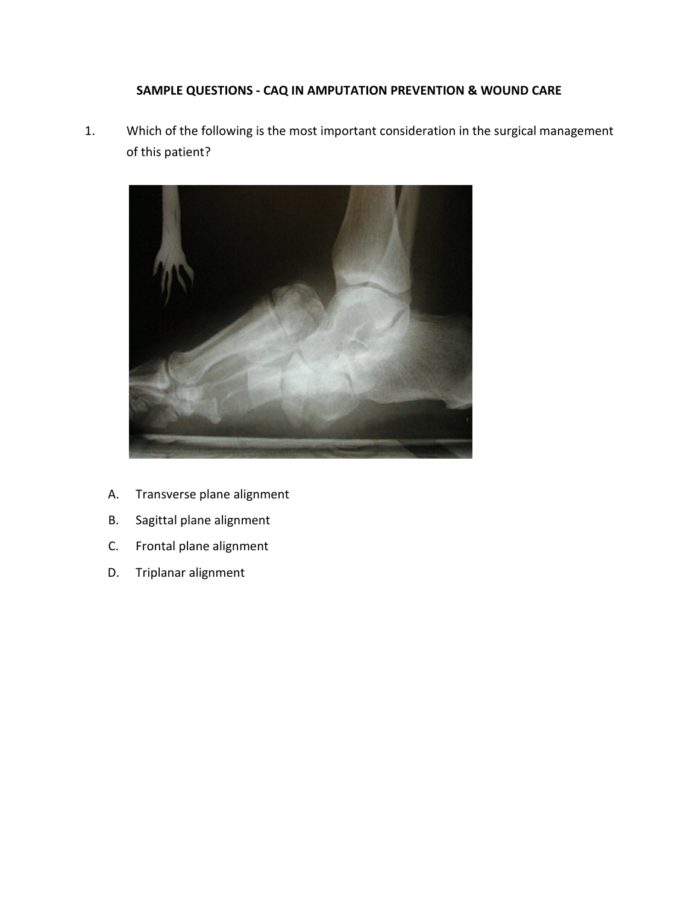## **SAMPLE QUESTIONS - CAQ IN AMPUTATION PREVENTION & WOUND CARE**

1. Which of the following is the most important consideration in the surgical management of this patient?



- A. Transverse plane alignment
- B. Sagittal plane alignment
- C. Frontal plane alignment
- D. Triplanar alignment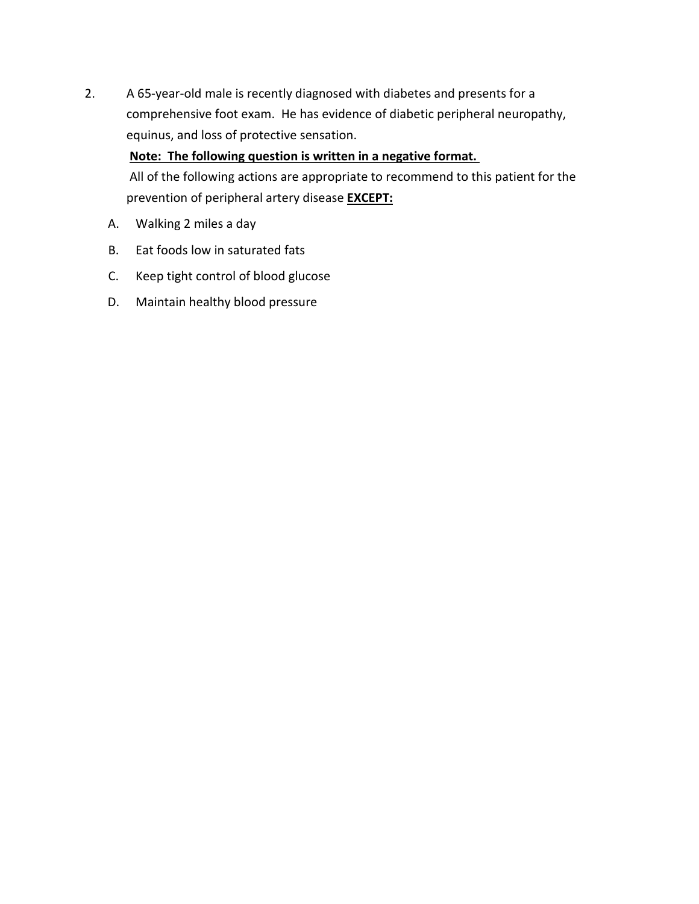2. A 65-year-old male is recently diagnosed with diabetes and presents for a comprehensive foot exam. He has evidence of diabetic peripheral neuropathy, equinus, and loss of protective sensation.

**Note: The following question is written in a negative format.**

All of the following actions are appropriate to recommend to this patient for the prevention of peripheral artery disease **EXCEPT:**

- A. Walking 2 miles a day
- B. Eat foods low in saturated fats
- C. Keep tight control of blood glucose
- D. Maintain healthy blood pressure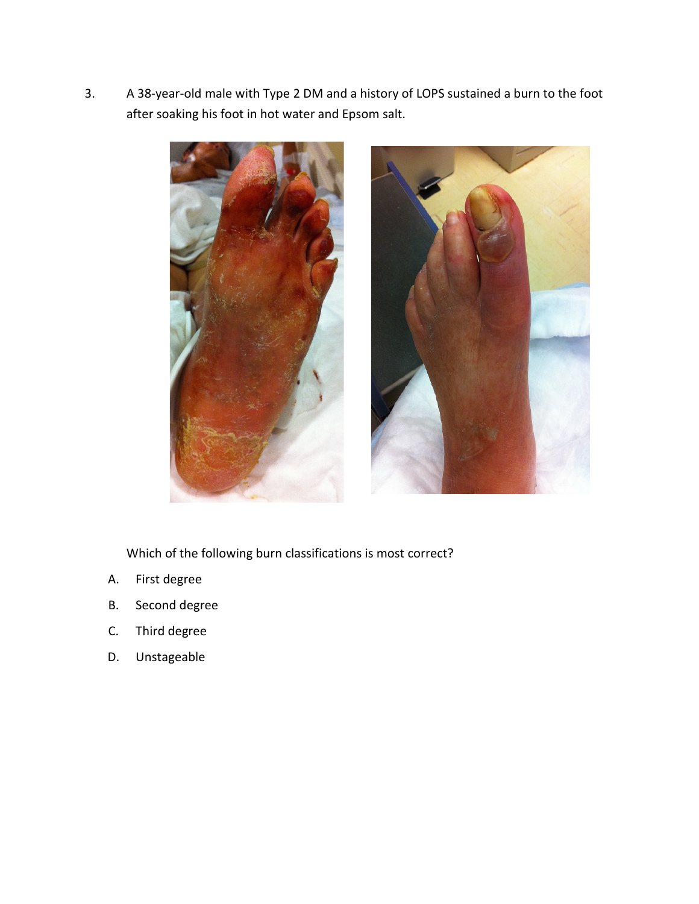3. A 38-year-old male with Type 2 DM and a history of LOPS sustained a burn to the foot after soaking his foot in hot water and Epsom salt.



Which of the following burn classifications is most correct?

- A. First degree
- B. Second degree
- C. Third degree
- D. Unstageable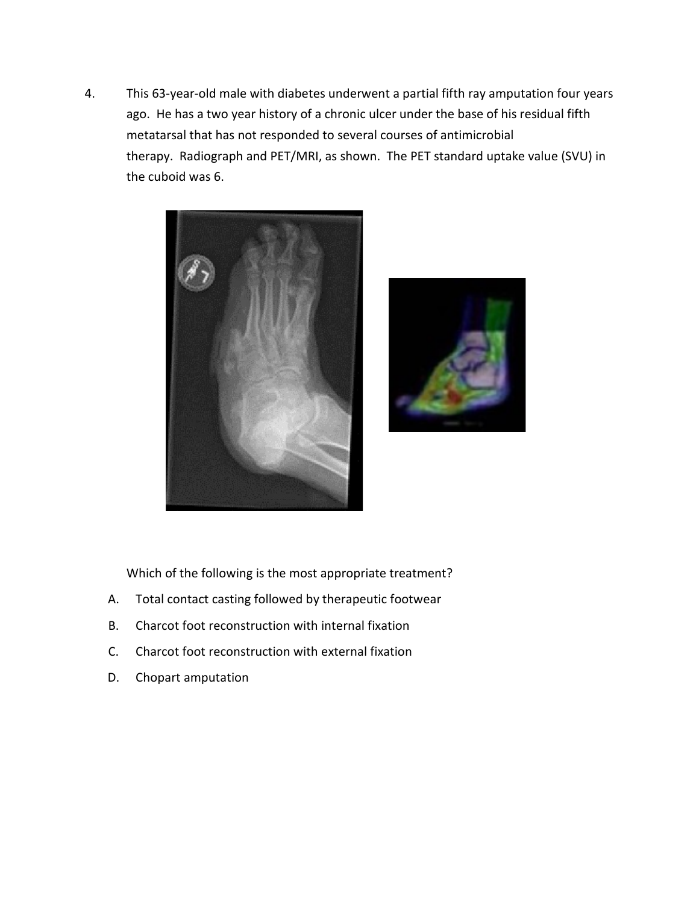4. This 63-year-old male with diabetes underwent a partial fifth ray amputation four years ago. He has a two year history of a chronic ulcer under the base of his residual fifth metatarsal that has not responded to several courses of antimicrobial therapy. Radiograph and PET/MRI, as shown. The PET standard uptake value (SVU) in the cuboid was 6.





Which of the following is the most appropriate treatment?

- A. Total contact casting followed by therapeutic footwear
- B. Charcot foot reconstruction with internal fixation
- C. Charcot foot reconstruction with external fixation
- D. Chopart amputation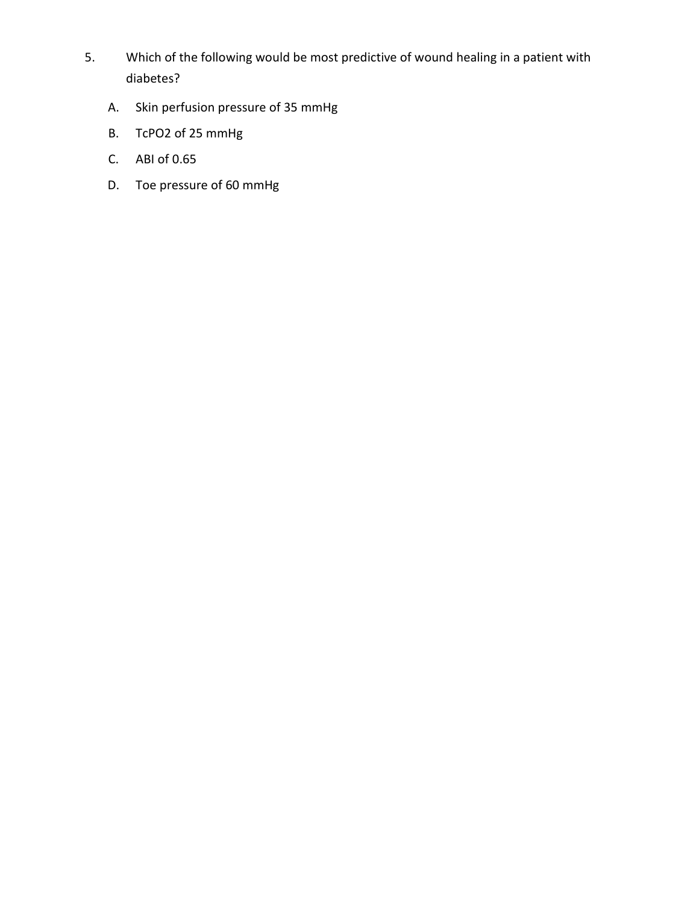- 5. Which of the following would be most predictive of wound healing in a patient with diabetes?
	- A. Skin perfusion pressure of 35 mmHg
	- B. TcPO2 of 25 mmHg
	- C. ABI of 0.65
	- D. Toe pressure of 60 mmHg